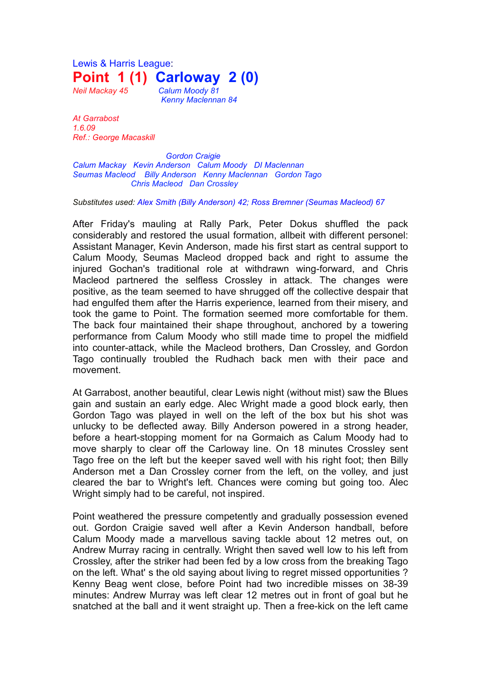Lewis & Harris League: **Point 1 (1) Carloway 2 (0)**

*Neil Mackay 45 Calum Moody 81 Kenny Maclennan 84* 

*At Garrabost 1.6.09 Ref.: George Macaskill*

*Gordon Craigie Calum Mackay Kevin Anderson Calum Moody DI Maclennan Seumas Macleod Billy Anderson Kenny Maclennan Gordon Tago Chris Macleod Dan Crossley*

*Substitutes used: Alex Smith (Billy Anderson) 42; Ross Bremner (Seumas Macleod) 67*

After Friday's mauling at Rally Park, Peter Dokus shuffled the pack considerably and restored the usual formation, allbeit with different personel: Assistant Manager, Kevin Anderson, made his first start as central support to Calum Moody, Seumas Macleod dropped back and right to assume the injured Gochan's traditional role at withdrawn wing-forward, and Chris Macleod partnered the selfless Crossley in attack. The changes were positive, as the team seemed to have shrugged off the collective despair that had engulfed them after the Harris experience, learned from their misery, and took the game to Point. The formation seemed more comfortable for them. The back four maintained their shape throughout, anchored by a towering performance from Calum Moody who still made time to propel the midfield into counter-attack, while the Macleod brothers, Dan Crossley, and Gordon Tago continually troubled the Rudhach back men with their pace and movement.

At Garrabost, another beautiful, clear Lewis night (without mist) saw the Blues gain and sustain an early edge. Alec Wright made a good block early, then Gordon Tago was played in well on the left of the box but his shot was unlucky to be deflected away. Billy Anderson powered in a strong header, before a heart-stopping moment for na Gormaich as Calum Moody had to move sharply to clear off the Carloway line. On 18 minutes Crossley sent Tago free on the left but the keeper saved well with his right foot; then Billy Anderson met a Dan Crossley corner from the left, on the volley, and just cleared the bar to Wright's left. Chances were coming but going too. Alec Wright simply had to be careful, not inspired.

Point weathered the pressure competently and gradually possession evened out. Gordon Craigie saved well after a Kevin Anderson handball, before Calum Moody made a marvellous saving tackle about 12 metres out, on Andrew Murray racing in centrally. Wright then saved well low to his left from Crossley, after the striker had been fed by a low cross from the breaking Tago on the left. What' s the old saying about living to regret missed opportunities ? Kenny Beag went close, before Point had two incredible misses on 38-39 minutes: Andrew Murray was left clear 12 metres out in front of goal but he snatched at the ball and it went straight up. Then a free-kick on the left came